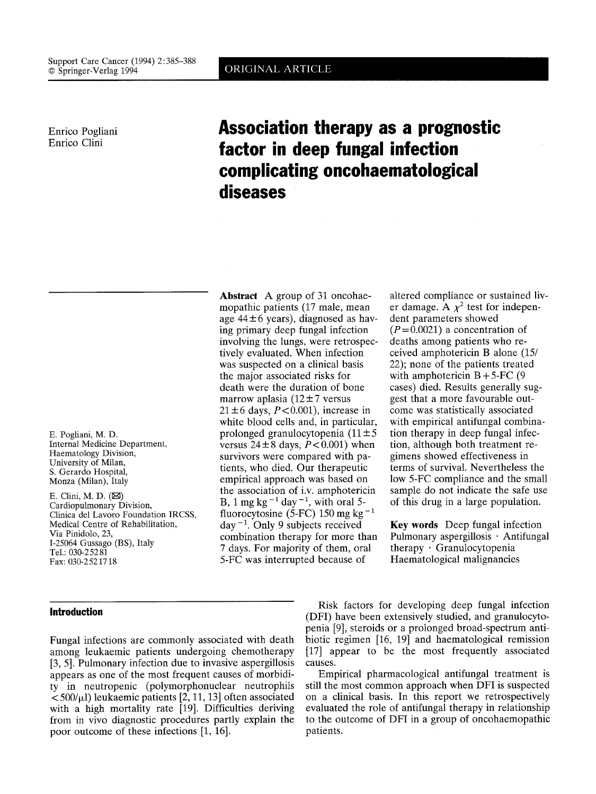Enrico Pogliani Enrico Clini

# **Association therapy as a prognostic factor in deep fungal infection complicating oncohaematological diseases**

E. Pogliani, M. D. Internal Medicine Department, Haematology Division, University of Milan, S. Gerardo Hospital, Monza (Milan), Italy

E. Clini, M. D.  $(\boxtimes)$ Cardiopulmonary Division, Clinica del Lavoro Foundation IRCSS, Medical Centre of Rehabilitation, Via Pinidolo, 23, 1-25064 Gussago (BS), Italy Tel.: 030-25281 Fax: 030-2521718

## **Introduction**

Fungal infections are commonly associated with death among leukaemic patients undergoing chemotherapy [3, 5]. Pulmonary infection due to invasive aspergillosis appears as one of the most frequent causes of morbidity in neutropenic (polymorphonuclear neutrophils  $<$  500/ $\mu$ l) leukaemic patients [2, 11, 13] often associated with a high mortality rate [19]. Difficulties deriving from in vivo diagnostic procedures partly explain the poor outcome of these infections [1, 16].

**Abstract** A group of 31 oncohaemopathic patients (17 male, mean age  $44 \pm 6$  years), diagnosed as having primary deep fungal infection involving the lungs, were retrospectively evaluated. When infection was suspected on a clinical basis the major associated risks for death were the duration of bone marrow aplasia ( $12 \pm 7$  versus  $21 \pm 6$  days,  $P < 0.001$ ), increase in white blood cells and, in particular, prolonged granulocytopenia  $(11 \pm 5$ versus  $24 \pm 8$  days,  $P < 0.001$ ) when survivors were compared with patients, who died. Our therapeutic empirical approach was based on the association of i.v. amphotericin B, 1 mg kg<sup>-1</sup> day<sup>-1</sup>, with oral 5fluorocytosine (5-FC) 150 mg kg<sup>-1</sup>  $day^{-1}$ . Only 9 subjects received combination therapy for more than 7 days. For majority of them, oral 5-FC was interrupted because of

altered compliance or sustained liver damage. A  $\chi^2$  test for independent parameters showed  $(P=0.0021)$  a concentration of deaths among patients who received amphotericin B alone (15/ 22); none of the patients treated with amphotericin  $B + 5$ -FC (9) cases) died. Results generally suggest that a more favourable outcome was statistically associated with empirical antifungal combination therapy in deep fungal infection, although both treatment regimens showed effectiveness in terms of survival. Nevertheless the low 5-FC compliance and the small sample do not indicate the safe use of this drug in a large population.

Key words Deep fungal infection Pulmonary aspergillosis · Antifungal therapy. Granulocytopenia Haematological malignancies

Risk factors for developing deep fungal infection (DFI) have been extensively studied, and granulocytopenia [9], steroids or a prolonged broad-spectrum antibiotic regimen [16, 19] and haematological remission [17] appear to be the most frequently associated causes.

Empirical pharmacological antifungal treatment is still the most common approach when DFI is suspected on a clinical basis. In this report we retrospectively evaluated the role of antifungal therapy in relationship to the outcome of DFI in a group of oncohaemopathic patients.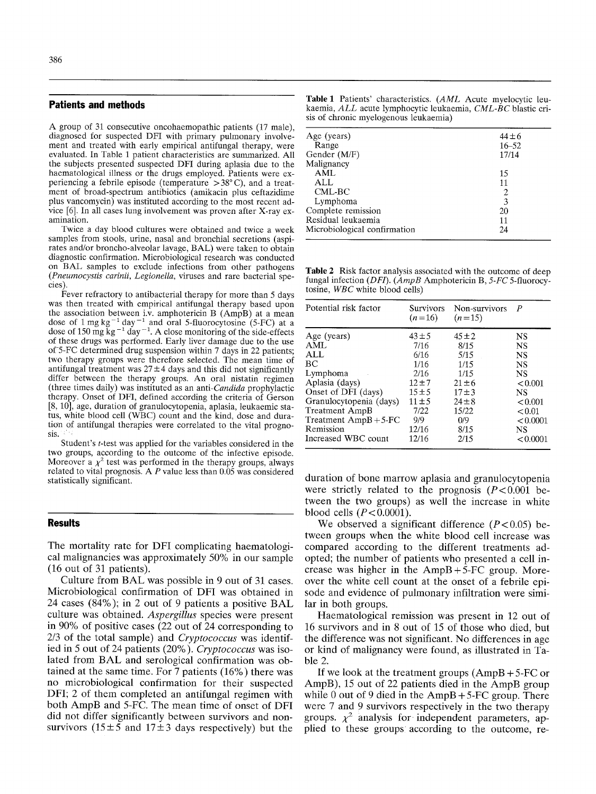### **Patients and methods**

A group of 31 consecutive oncohaemopathic patients (17 male), diagnosed for suspected DFI with primary pulmonary involvement and treated with early empirical antifungal therapy, were evaluated. In Table 1 patient characteristics are summarized. All the subjects presented suspected DFI during aplasia due to the haematological illness or the drugs employed. Patients were experiencing a febrile episode (temperature  $>38^{\circ}$  C), and a treatment of broad-spectrum antibiotics (amikacin plus ceftazidime plus vancomycin) was instituted according to the most recent advice [6]. In all cases lung involvement was proven after X-ray examination.

Twice a day blood cultures were obtained and twice a week samples from stools, urine, nasal and bronchial secretions (aspirates and/or broncho-alveolar lavage, BAL) were taken to obtain diagnostic confirmation. Microbiological research was conducted on BAL samples to exclude infections from other pathogens *(Pneumocystis carinii, Legionella,* viruses and rare bacterial species).

Fever refractory to antibacterial therapy for more than 5 days was then treated with empirical antifungal therapy based upon the association between i.v. amphotericin B (AmpB) at a mean dose of 1 mg kg<sup>-1</sup> day<sup>-1</sup> and oral 5-fluorocytosine (5-FC) at a dose of 150 mg kg<sup>-1</sup> day<sup>-1</sup>. A close monitoring of the side-effects of these drugs was performed. Early liver damage due to the use of-5-FC determined drug suspension within 7 days in 22 patients; two therapy groups were therefore selected. The mean time of antifungal treatment was  $27 \pm 4$  days and this did not significantly differ between the therapy groups. An oral nistatin regimen (three times daily) was instituted as an *anti-Candida* prophylactic therapy. Onset of DFI, defined according the criteria of Gerson [8, 10], age, duration of granulocytopenia, aplasia, leukaemic status, white blood cell (WBC) count and the kind, dose and duration 0f antifungal therapies were correlated to the vital prognosis.

Student's t-test was applied for the variables considered in the two groups, according to the outcome of the infective episode. Moreover a  $\chi^2$  test was performed in the therapy groups, always related to vital prognosis. A  *value less than 0.05 was considered* statistically significant.

#### **Results**

The mortality rate for DFI complicating haematological malignancies was approximately 50% in our sample (16 out of 31 patients).

Culture from BAL was possible in 9 out of 31 cases. Microbiological confirmation of DFI was obtained in 24 cases (84%); in 2 out of 9 patients a positive BAL culture was obtained. *Aspergillus* species were present in 90% of positive cases (22 out of 24 corresponding to 2/3 of the total sample) and *Cryptococcus* was identified in 5 out of 24 patients (20%). *Cryptococcus* was isolated from BAL and serological confirmation was obtained at the same time. For 7 patients (16%) there was no microbiological confirmation for their suspected DFI; 2 of them completed an antifungal regimen with both AmpB and 5-FC. The mean time of onset of DFI did not differ significantly between survivors and nonsurvivors (15 $\pm$ 5 and 17 $\pm$ 3 days respectively) but the

|  | Table 1 Patients' characteristics. (AML Acute myelocytic leu- |  |  |
|--|---------------------------------------------------------------|--|--|
|  | kaemia, ALL acute lymphocytic leukaemia, CML-BC blastic cri-  |  |  |
|  | sis of chronic myelogenous leukaemia)                         |  |  |

| Age (years)<br>Range         | $44 \pm 6$<br>$16 - 52$ |
|------------------------------|-------------------------|
| Gender (M/F)                 | 17/14                   |
| Malignancy                   |                         |
| <b>AML</b>                   | 15                      |
| ALL                          | 11                      |
| CML-BC                       | 2                       |
| Lymphoma                     | 3                       |
| Complete remission           | 20                      |
| Residual leukaemia           | 11                      |
| Microbiological confirmation | 24                      |
|                              |                         |

Table 2 Risk factor analysis associated with the outcome of deep fungal infection *(DF1). (AmpB* Amphotericin B, *5-FC* 5-fluorocytosine, *WBC* white blood cells)

| Potential risk factor   | Survivors<br>$(n=16)$ | Non-survivors<br>$(n=15)$ | P         |
|-------------------------|-----------------------|---------------------------|-----------|
| Age (years)             | $43 \pm 5$            | $45 \pm 2$                | <b>NS</b> |
| AML                     | 7/16                  | 8/15                      | NS        |
| ALL                     | 6/16                  | 5/15                      | NS        |
| ВC                      | 1/16                  | 1/15                      | <b>NS</b> |
| Lymphoma                | 2/16                  | 1/15                      | NS        |
| Aplasia (days)          | $12 + 7$              | $21 \pm 6$                | < 0.001   |
| Onset of DFI (days)     | $15 \pm 5$            | $17 + 3$                  | NS        |
| Granulocytopenia (days) | $11 \pm 5$            | $24 \pm 8$                | < 0.001   |
| <b>Treatment AmpB</b>   | 7/22                  | 15/22                     | < 0.01    |
| Treatment $AmpB+5-FC$   | 9/9                   | 0/9                       | < 0.0001  |
| Remission               | 12/16                 | 8/15                      | NS        |
| Increased WBC count     | 12/16                 | 2/15                      | < 0.0001  |

duration of bone marrow aplasia and granulocytopenia were strictly related to the prognosis  $(P<0.001$  between the two groups) as well the increase in white blood cells  $(P<0.0001)$ .

We observed a significant difference  $(P<0.05)$  between groups when the white blood cell increase was compared according to the different treatments adopted; the number of patients who presented a cell increase was higher in the  $AmpB + 5-FC$  group. Moreover the white cell count at the onset of a febrile episode and evidence of pulmonary infiltration were similar in both groups.

Haematological remission was present in 12 out of 16 survivors and in 8 out of 15 of those who died, but the difference was not significant. No differences in age or kind of malignancy were found, as illustrated in Table 2.

If we look at the treatment groups  $(AmpB + 5\text{-FC or})$ AmpB), 15 out of 22 patients died in the AmpB group while 0 out of 9 died in the  $AmpB + 5\text{-}FC$  group. There were 7 and 9 survivors respectively in the two therapy groups.  $\chi^2$  analysis for independent parameters, applied to these groups according to the outcome, re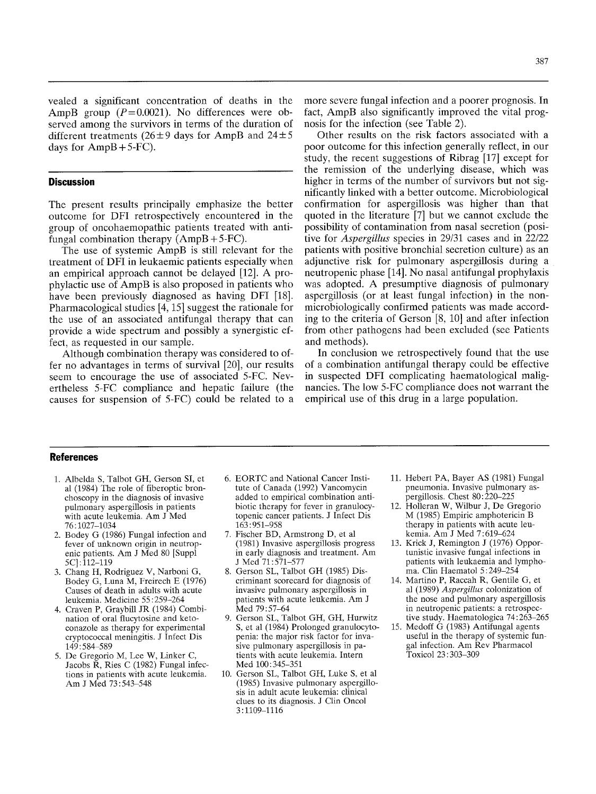vealed a significant concentration of deaths in the AmpB group  $(P=0.0021)$ . No differences were observed among the survivors in terms of the duration of different treatments ( $26 \pm 9$  days for AmpB and  $24 \pm 5$ days for  $AmpB + 5-FC$ .

## **Discussion**

The present results principally emphasize the better outcome for DFI retrospectively encountered in the group of oncohaemopathic patients treated with antifungal combination therapy  $(AmpB + 5-FC)$ .

The use of systemic AmpB is still relevant for the treatment of DFI in leukaemic patients especially when an empirical approach cannot be delayed [12]. A prophylactic use of AmpB is also proposed in patients who have been previously diagnosed as having DFI [18]. Pharmacological studies [4, 15] suggest the rationale for the use of an associated antifungal therapy that can provide a wide spectrum and possibly a synergistic effect, as requested in our sample.

Although combination therapy was considered to offer no advantages in terms of survival [20], our results seem to encourage the use of associated 5-FC. Nevertheless 5-FC compliance and hepatic failure (the causes for suspension of 5-FC) could be related to a more severe fungal infection and a poorer prognosis. In fact, AmpB also significantly improved the vital prognosis for the infection (see Table 2).

Other results on the risk factors associated with a poor outcome for this infection generally reflect, in our study, the recent suggestions of Ribrag [17] except for the remission of the underlying disease, which was higher in terms of the number of survivors but not significantly linked with a better outcome. Microbiological confirmation for aspergillosis was higher than that quoted in the literature [7] but we cannot exclude the possibility of contamination from nasal secretion (positive for *Aspergillus* species in 29/31 cases and in 22/22 patients with positive bronchial secretion culture) as an adjunctive risk for pulmonary aspergillosis during a neutropenic phase [14]. No nasal antifungal prophylaxis was adopted. A presumptive diagnosis of pulmonary aspergillosis (or at least fungal infection) in the nonmicrobiologically confirmed patients was made according to the criteria of Gerson [8, 10] and after infection from other pathogens had been excluded (see Patients and methods).

In conclusion we retrospectively found that the use of a combination antifungal therapy could be effective in suspected DFI complicating haematological malignancies. The low 5-FC compliance does not warrant the empirical use of this drug in a large population.

#### **References**

- 1. Albelda S, Talbot GH, Gerson SI, et al (1984) The role of fiberoptic bronchoscopy in the diagnosis of invasive pulmonary aspergillosis in patients with acute leukemia. Am J Med 76 : 1027-1034
- 2. Bodey G (1986) Fungal infection and fever of unknown origin in neutropenic patients. Am J Med 80 [Suppl 5C]: 112-119
- 3. Chang H, Rodriguez V, Narboni G, Bodey G, Luna M, Freirech E (1976) Causes of death in adults with acute leukemia. Medicine 55 : 259-264
- 4. Craven P, Graybill JR (1984) Combination of oral flucytosine and ketoconazole as therapy for experimental cryptococcal meningitis. J Infect Dis 149:584-589
- 5. De Gregorio M, Lee W, Linker C, Jacobs  $\overline{R}$ . Ries C (1982) Fungal infections in patients with acute leukemia. Am J Med 73:543-548
- 6. EORTC and National Cancer Institute of Canada (1992) Vancomycin added to empirical combination antibiotic therapy for fever in granulocytopenic cancer patients. J Infect Dis 163 : 951-958
- 7. Fischer BD, Armstrong D, et al (1981) Invasive aspergillosis progress in early diagnosis and treatment. Am J Med 71 : 571-577
- 8. Gerson SL, Talbot GH (1985) Discriminant scorecard for diagnosis of invasive pulmonary aspergillosis in patients with acute leukemia. Am J Med 79: 57-64
- 9. Gerson SL, Talbot GH, GH, Hurwitz S, et al (1984) Prolonged granulocytopenia: the major risk factor for invasire pulmonary aspergillosis in patients with acute leukemia. Intern Med 100:345-351
- 10. Gerson SL, Talbot GH, Luke S, et al (1985) Invasive pulmonary aspergillosis in adult acute leukemia: clinical clues to its diagnosis. J Clin Oncol 3:1109-1116
- 11. Hebert PA, Bayer AS (1981) Fungal pneumonia. Invasive pulmonary aspergillosis. Chest 80: 220-225
- 12. Holleran W, Wilbur J, De Gregorio M (1985) Empiric amphotericin B therapy in patients with acute leukemia. Am J Med 7:619-624
- 13. Krick J, Remington J (1976) Opportunistic invasive fungal infections in patients with leukaemia and lymphoma. Clin Haematol 5:249-254
- 14. Martino P, Raccah R, Gentile G, et al (1989) *Aspergillus* colonization of the nose and pulmonary aspergillosis in neutropenic patients: a retrospective study. Haematologica 74:263-265
- 15. Medoff G (1983) Antifungal agents useful in the therapy of systemic fungal infection. Am Rev Pharmacol Toxicol 23: 303-309